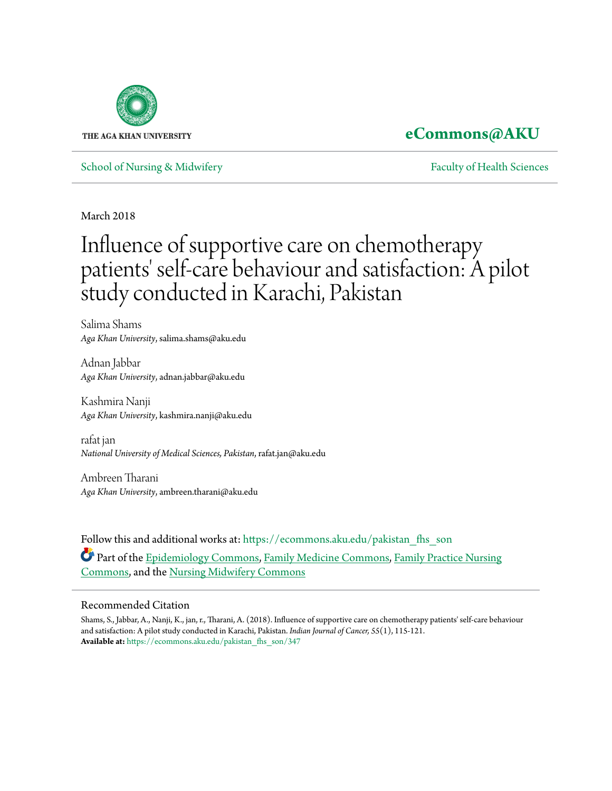

## **[eCommons@AKU](https://ecommons.aku.edu?utm_source=ecommons.aku.edu%2Fpakistan_fhs_son%2F347&utm_medium=PDF&utm_campaign=PDFCoverPages)**

[School of Nursing & Midwifery](https://ecommons.aku.edu/pakistan_fhs_son?utm_source=ecommons.aku.edu%2Fpakistan_fhs_son%2F347&utm_medium=PDF&utm_campaign=PDFCoverPages) **[Faculty of Health Sciences](https://ecommons.aku.edu/pakistan_fhs?utm_source=ecommons.aku.edu%2Fpakistan_fhs_son%2F347&utm_medium=PDF&utm_campaign=PDFCoverPages)** Faculty of Health Sciences

March 2018

# Influence of supportive care on chemotherapy patients' self-care behaviour and satisfaction: A pilot study conducted in Karachi, Pakistan

Salima Shams *Aga Khan University*, salima.shams@aku.edu

Adnan Jabbar *Aga Khan University*, adnan.jabbar@aku.edu

Kashmira Nanji *Aga Khan University*, kashmira.nanji@aku.edu

rafat jan *National University of Medical Sciences, Pakistan*, rafat.jan@aku.edu

Ambreen Tharani *Aga Khan University*, ambreen.tharani@aku.edu

Follow this and additional works at: [https://ecommons.aku.edu/pakistan\\_fhs\\_son](https://ecommons.aku.edu/pakistan_fhs_son?utm_source=ecommons.aku.edu%2Fpakistan_fhs_son%2F347&utm_medium=PDF&utm_campaign=PDFCoverPages) Part of the [Epidemiology Commons](http://network.bepress.com/hgg/discipline/740?utm_source=ecommons.aku.edu%2Fpakistan_fhs_son%2F347&utm_medium=PDF&utm_campaign=PDFCoverPages), [Family Medicine Commons,](http://network.bepress.com/hgg/discipline/1354?utm_source=ecommons.aku.edu%2Fpakistan_fhs_son%2F347&utm_medium=PDF&utm_campaign=PDFCoverPages) [Family Practice Nursing](http://network.bepress.com/hgg/discipline/720?utm_source=ecommons.aku.edu%2Fpakistan_fhs_son%2F347&utm_medium=PDF&utm_campaign=PDFCoverPages) [Commons,](http://network.bepress.com/hgg/discipline/720?utm_source=ecommons.aku.edu%2Fpakistan_fhs_son%2F347&utm_medium=PDF&utm_campaign=PDFCoverPages) and the [Nursing Midwifery Commons](http://network.bepress.com/hgg/discipline/722?utm_source=ecommons.aku.edu%2Fpakistan_fhs_son%2F347&utm_medium=PDF&utm_campaign=PDFCoverPages)

#### Recommended Citation

Shams, S., Jabbar, A., Nanji, K., jan, r., Tharani, A. (2018). Influence of supportive care on chemotherapy patients' self-care behaviour and satisfaction: A pilot study conducted in Karachi, Pakistan. *Indian Journal of Cancer, 55*(1), 115-121. **Available at:** [https://ecommons.aku.edu/pakistan\\_fhs\\_son/347](https://ecommons.aku.edu/pakistan_fhs_son/347)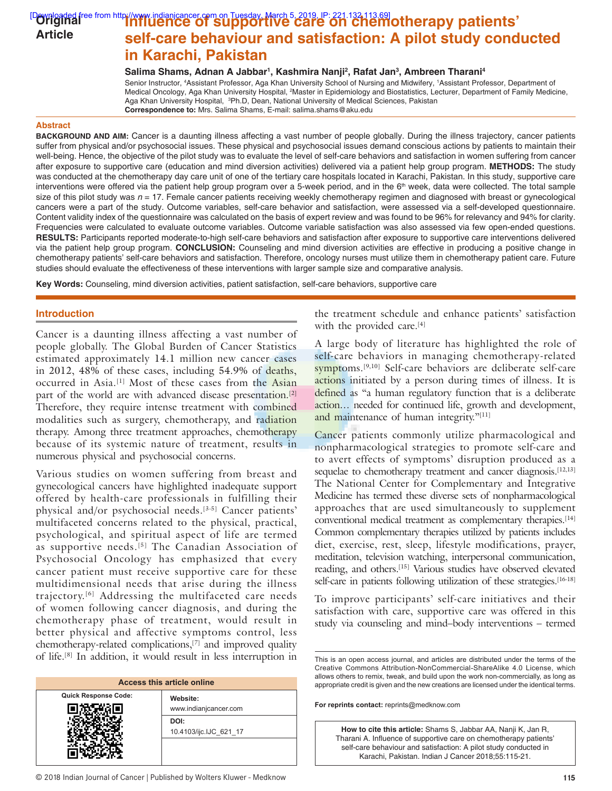#### **Downloaded free from http://www.indianjcancer.com on Tuesday, March 5, 2019, IP: 221.132.113.69]<br><b>Downloaded free from http://www.indianjcancer.com on Tuesday, March 5, 2019, IP: 221.132.113.69]<br>
<b>Corriginal i self‑care behaviour and satisfaction: A pilot study conducted in Karachi, Pakistan Article**

**Salima Shams, Adnan A Jabbar1 , Kashmira Nanji2 , Rafat Jan3 , Ambreen Tharani4**

Senior Instructor, 4 Assistant Professor, Aga Khan University School of Nursing and Midwifery, 1 Assistant Professor, Department of Medical Oncology, Aga Khan University Hospital, <sup>2</sup>Master in Epidemiology and Biostatistics, Lecturer, Department of Family Medicine, Aga Khan University Hospital, <sup>3</sup>Ph.D, Dean, National University of Medical Sciences, Pakistan **Correspondence to:** Mrs. Salima Shams, E-mail: salima.shams@aku.edu

#### **Abstract**

**BACKGROUND AND AIM:** Cancer is a daunting illness affecting a vast number of people globally. During the illness trajectory, cancer patients suffer from physical and/or psychosocial issues. These physical and psychosocial issues demand conscious actions by patients to maintain their well-being. Hence, the objective of the pilot study was to evaluate the level of self-care behaviors and satisfaction in women suffering from cancer after exposure to supportive care (education and mind diversion activities) delivered via a patient help group program. **METHODS:** The study was conducted at the chemotherapy day care unit of one of the tertiary care hospitals located in Karachi, Pakistan. In this study, supportive care interventions were offered via the patient help group program over a 5-week period, and in the 6<sup>th</sup> week, data were collected. The total sample size of this pilot study was  $n = 17$ . Female cancer patients receiving weekly chemotherapy regimen and diagnosed with breast or gynecological cancers were a part of the study. Outcome variables, self-care behavior and satisfaction, were assessed via a self-developed questionnaire. Content validity index of the questionnaire was calculated on the basis of expert review and was found to be 96% for relevancy and 94% for clarity. Frequencies were calculated to evaluate outcome variables. Outcome variable satisfaction was also assessed via few open-ended questions. **RESULTS:** Participants reported moderate-to-high self-care behaviors and satisfaction after exposure to supportive care interventions delivered via the patient help group program. **CONCLUSION:** Counseling and mind diversion activities are effective in producing a positive change in chemotherapy patients' self-care behaviors and satisfaction. Therefore, oncology nurses must utilize them in chemotherapy patient care. Future studies should evaluate the effectiveness of these interventions with larger sample size and comparative analysis.

**Key Words:** Counseling, mind diversion activities, patient satisfaction, self-care behaviors, supportive care

#### **Introduction**

Cancer is a daunting illness affecting a vast number of people globally. The Global Burden of Cancer Statistics estimated approximately 14.1 million new cancer cases in 2012, 48% of these cases, including 54.9% of deaths, occurred in Asia.[1] Most of these cases from the Asian part of the world are with advanced disease presentation.<sup>[2]</sup> Therefore, they require intense treatment with combined modalities such as surgery, chemotherapy, and radiation therapy. Among three treatment approaches, chemotherapy because of its systemic nature of treatment, results in numerous physical and psychosocial concerns.

Various studies on women suffering from breast and gynecological cancers have highlighted inadequate support offered by health-care professionals in fulfilling their physical and/or psychosocial needs.[3-5] Cancer patients' multifaceted concerns related to the physical, practical, psychological, and spiritual aspect of life are termed as supportive needs.<sup>[5]</sup> The Canadian Association of Psychosocial Oncology has emphasized that every cancer patient must receive supportive care for these multidimensional needs that arise during the illness trajectory.[6] Addressing the multifaceted care needs of women following cancer diagnosis, and during the chemotherapy phase of treatment, would result in better physical and affective symptoms control, less chemotherapy-related complications,[7] and improved quality of life.[8] In addition, it would result in less interruption in

| <b>Access this article online</b> |                               |  |
|-----------------------------------|-------------------------------|--|
| <b>Quick Response Code:</b>       | Website:                      |  |
|                                   | www.indianjcancer.com<br>DOI: |  |
|                                   | 10.4103/ijc.IJC_621_17        |  |
|                                   |                               |  |

© 2018 Indian Journal of Cancer | Published by Wolters Kluwer - Medknow **115**

the treatment schedule and enhance patients' satisfaction with the provided care.<sup>[4]</sup>

A large body of literature has highlighted the role of self-care behaviors in managing chemotherapy-related symptoms.<sup>[9,10]</sup> Self-care behaviors are deliberate self-care actions initiated by a person during times of illness. It is defined as "a human regulatory function that is a deliberate action… needed for continued life, growth and development, and maintenance of human integrity."[11]

Cancer patients commonly utilize pharmacological and nonpharmacological strategies to promote self-care and to avert effects of symptoms' disruption produced as a sequelae to chemotherapy treatment and cancer diagnosis.<sup>[12,13]</sup> The National Center for Complementary and Integrative Medicine has termed these diverse sets of nonpharmacological approaches that are used simultaneously to supplement conventional medical treatment as complementary therapies.[14] Common complementary therapies utilized by patients includes diet, exercise, rest, sleep, lifestyle modifications, prayer, meditation, television watching, interpersonal communication, reading, and others.[15] Various studies have observed elevated self-care in patients following utilization of these strategies.<sup>[16-18]</sup>

To improve participants' self-care initiatives and their satisfaction with care, supportive care was offered in this study via counseling and mind–body interventions – termed

This is an open access journal, and articles are distributed under the terms of the Creative Commons Attribution-NonCommercial-ShareAlike 4.0 License, which allows others to remix, tweak, and build upon the work non-commercially, as long as appropriate credit is given and the new creations are licensed under the identical terms.

**For reprints contact:** reprints@medknow.com

**How to cite this article:** Shams S, Jabbar AA, Nanji K, Jan R, Tharani A. Influence of supportive care on chemotherapy patients' self-care behaviour and satisfaction: A pilot study conducted in Karachi, Pakistan. Indian J Cancer 2018;55:115-21.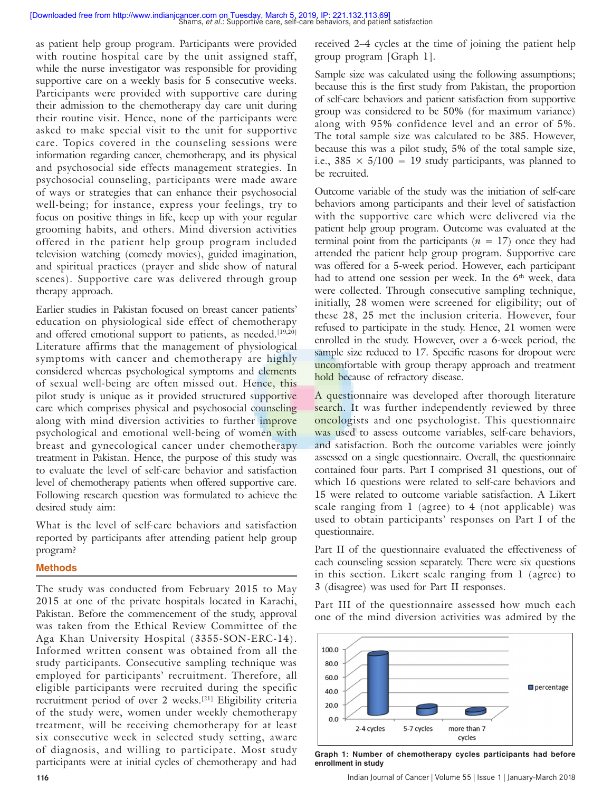as patient help group program. Participants were provided with routine hospital care by the unit assigned staff, while the nurse investigator was responsible for providing supportive care on a weekly basis for 5 consecutive weeks. Participants were provided with supportive care during their admission to the chemotherapy day care unit during their routine visit. Hence, none of the participants were asked to make special visit to the unit for supportive care. Topics covered in the counseling sessions were information regarding cancer, chemotherapy, and its physical and psychosocial side effects management strategies. In psychosocial counseling, participants were made aware of ways or strategies that can enhance their psychosocial well-being; for instance, express your feelings, try to focus on positive things in life, keep up with your regular grooming habits, and others. Mind diversion activities offered in the patient help group program included television watching (comedy movies), guided imagination, and spiritual practices (prayer and slide show of natural scenes). Supportive care was delivered through group therapy approach.

Earlier studies in Pakistan focused on breast cancer patients' education on physiological side effect of chemotherapy and offered emotional support to patients, as needed.<sup>[19,20]</sup> Literature affirms that the management of physiological symptoms with cancer and chemotherapy are highly considered whereas psychological symptoms and elements of sexual well-being are often missed out. Hence, this pilot study is unique as it provided structured supportive care which comprises physical and psychosocial counseling along with mind diversion activities to further improve psychological and emotional well-being of women with breast and gynecological cancer under chemotherapy treatment in Pakistan. Hence, the purpose of this study was to evaluate the level of self-care behavior and satisfaction level of chemotherapy patients when offered supportive care. Following research question was formulated to achieve the desired study aim:

What is the level of self-care behaviors and satisfaction reported by participants after attending patient help group program?

#### **Methods**

The study was conducted from February 2015 to May 2015 at one of the private hospitals located in Karachi, Pakistan. Before the commencement of the study, approval was taken from the Ethical Review Committee of the Aga Khan University Hospital (3355-SON-ERC-14). Informed written consent was obtained from all the study participants. Consecutive sampling technique was employed for participants' recruitment. Therefore, all eligible participants were recruited during the specific recruitment period of over 2 weeks.[21] Eligibility criteria of the study were, women under weekly chemotherapy treatment, will be receiving chemotherapy for at least six consecutive week in selected study setting, aware of diagnosis, and willing to participate. Most study participants were at initial cycles of chemotherapy and had

received 2–4 cycles at the time of joining the patient help group program [Graph 1].

Sample size was calculated using the following assumptions; because this is the first study from Pakistan, the proportion of self-care behaviors and patient satisfaction from supportive group was considered to be 50% (for maximum variance) along with 95% confidence level and an error of 5%. The total sample size was calculated to be 385. However, because this was a pilot study, 5% of the total sample size, i.e.,  $385 \times 5/100 = 19$  study participants, was planned to be recruited.

Outcome variable of the study was the initiation of self-care behaviors among participants and their level of satisfaction with the supportive care which were delivered via the patient help group program. Outcome was evaluated at the terminal point from the participants  $(n = 17)$  once they had attended the patient help group program. Supportive care was offered for a 5-week period. However, each participant had to attend one session per week. In the 6<sup>th</sup> week, data were collected. Through consecutive sampling technique, initially, 28 women were screened for eligibility; out of these 28, 25 met the inclusion criteria. However, four refused to participate in the study. Hence, 21 women were enrolled in the study. However, over a 6-week period, the sample size reduced to 17. Specific reasons for dropout were uncomfortable with group therapy approach and treatment hold because of refractory disease.

A questionnaire was developed after thorough literature search. It was further independently reviewed by three oncologists and one psychologist. This questionnaire was used to assess outcome variables, self-care behaviors, and satisfaction. Both the outcome variables were jointly assessed on a single questionnaire. Overall, the questionnaire contained four parts. Part I comprised 31 questions, out of which 16 questions were related to self-care behaviors and 15 were related to outcome variable satisfaction. A Likert scale ranging from 1 (agree) to 4 (not applicable) was used to obtain participants' responses on Part I of the questionnaire.

Part II of the questionnaire evaluated the effectiveness of each counseling session separately. There were six questions in this section. Likert scale ranging from 1 (agree) to 3 (disagree) was used for Part II responses.

Part III of the questionnaire assessed how much each one of the mind diversion activities was admired by the



**Graph 1: Number of chemotherapy cycles participants had before enrollment in study**

**116** Indian Journal of Cancer | Volume 55 | Issue 1 | January-March 2018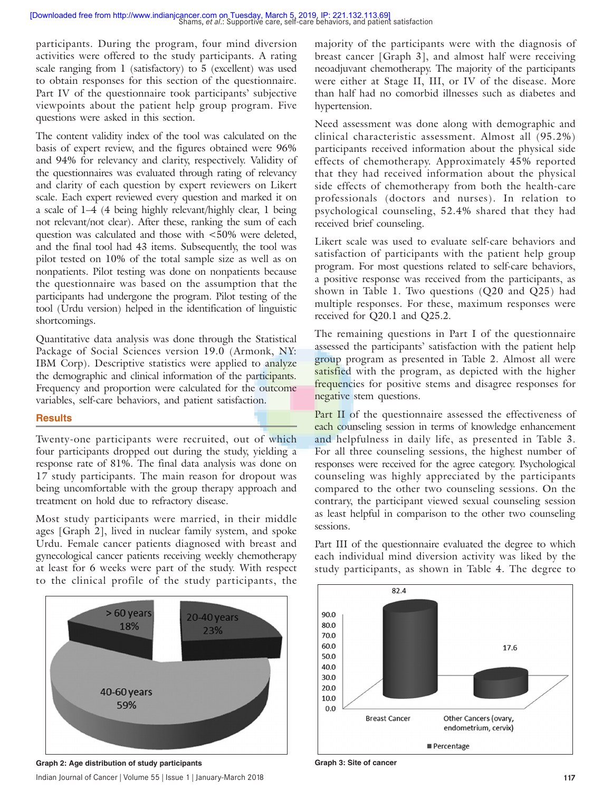participants. During the program, four mind diversion activities were offered to the study participants. A rating scale ranging from 1 (satisfactory) to 5 (excellent) was used to obtain responses for this section of the questionnaire. Part IV of the questionnaire took participants' subjective viewpoints about the patient help group program. Five questions were asked in this section.

The content validity index of the tool was calculated on the basis of expert review, and the figures obtained were 96% and 94% for relevancy and clarity, respectively. Validity of the questionnaires was evaluated through rating of relevancy and clarity of each question by expert reviewers on Likert scale. Each expert reviewed every question and marked it on a scale of 1–4 (4 being highly relevant/highly clear, 1 being not relevant/not clear). After these, ranking the sum of each question was calculated and those with <50% were deleted, and the final tool had 43 items. Subsequently, the tool was pilot tested on 10% of the total sample size as well as on nonpatients. Pilot testing was done on nonpatients because the questionnaire was based on the assumption that the participants had undergone the program. Pilot testing of the tool (Urdu version) helped in the identification of linguistic shortcomings.

Quantitative data analysis was done through the Statistical Package of Social Sciences version 19.0 (Armonk, NY: IBM Corp). Descriptive statistics were applied to analyze the demographic and clinical information of the participants. Frequency and proportion were calculated for the outcome variables, self-care behaviors, and patient satisfaction.

#### **Results**

Twenty-one participants were recruited, out of which four participants dropped out during the study, yielding a response rate of 81%. The final data analysis was done on 17 study participants. The main reason for dropout was being uncomfortable with the group therapy approach and treatment on hold due to refractory disease.

Most study participants were married, in their middle ages [Graph 2], lived in nuclear family system, and spoke Urdu. Female cancer patients diagnosed with breast and gynecological cancer patients receiving weekly chemotherapy at least for 6 weeks were part of the study. With respect to the clinical profile of the study participants, the



Indian Journal of Cancer | Volume 55 | Issue 1 | January-March 2018 **117** Graph 2: Age distribution of study participants **Graph 3: Site of cancer** Graph 3: Site of cancer

majority of the participants were with the diagnosis of breast cancer [Graph 3], and almost half were receiving neoadjuvant chemotherapy. The majority of the participants were either at Stage II, III, or IV of the disease. More than half had no comorbid illnesses such as diabetes and hypertension.

Need assessment was done along with demographic and clinical characteristic assessment. Almost all (95.2%) participants received information about the physical side effects of chemotherapy. Approximately 45% reported that they had received information about the physical side effects of chemotherapy from both the health-care professionals (doctors and nurses). In relation to psychological counseling, 52.4% shared that they had received brief counseling.

Likert scale was used to evaluate self-care behaviors and satisfaction of participants with the patient help group program. For most questions related to self-care behaviors, a positive response was received from the participants, as shown in Table 1. Two questions (Q20 and Q25) had multiple responses. For these, maximum responses were received for Q20.1 and Q25.2.

The remaining questions in Part I of the questionnaire assessed the participants' satisfaction with the patient help group program as presented in Table 2. Almost all were satisfied with the program, as depicted with the higher frequencies for positive stems and disagree responses for negative stem questions.

Part II of the questionnaire assessed the effectiveness of each counseling session in terms of knowledge enhancement and helpfulness in daily life, as presented in Table 3. For all three counseling sessions, the highest number of responses were received for the agree category. Psychological counseling was highly appreciated by the participants compared to the other two counseling sessions. On the contrary, the participant viewed sexual counseling session as least helpful in comparison to the other two counseling sessions.



Part III of the questionnaire evaluated the degree to which each individual mind diversion activity was liked by the study participants, as shown in Table 4. The degree to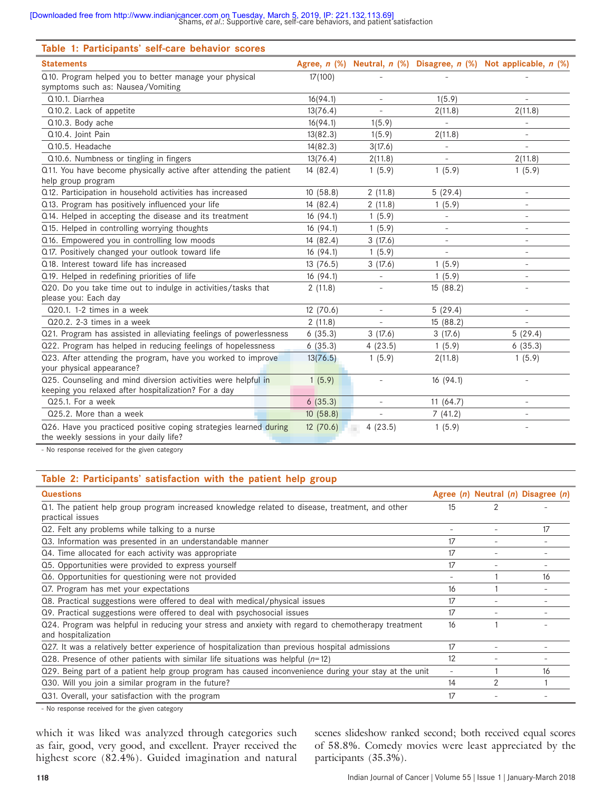| Table 1: Participants' self-care behavior scores                                                                      |                |                          |                          |                                       |
|-----------------------------------------------------------------------------------------------------------------------|----------------|--------------------------|--------------------------|---------------------------------------|
| <b>Statements</b>                                                                                                     | Agree, $n$ $%$ | Neutral, n (%)           |                          | Disagree, n (%) Not applicable, n (%) |
| Q10. Program helped you to better manage your physical<br>symptoms such as: Nausea/Vomiting                           | 17(100)        |                          |                          |                                       |
| Q10.1. Diarrhea                                                                                                       | 16(94.1)       |                          | 1(5.9)                   |                                       |
| Q10.2. Lack of appetite                                                                                               | 13(76.4)       |                          | 2(11.8)                  | 2(11.8)                               |
| Q10.3. Body ache                                                                                                      | 16(94.1)       | 1(5.9)                   |                          |                                       |
| Q10.4. Joint Pain                                                                                                     | 13(82.3)       | 1(5.9)                   | 2(11.8)                  | $\qquad \qquad -$                     |
| Q10.5. Headache                                                                                                       | 14(82.3)       | 3(17.6)                  | $\overline{\phantom{a}}$ | $\overline{\phantom{a}}$              |
| Q10.6. Numbness or tingling in fingers                                                                                | 13(76.4)       | 2(11.8)                  |                          | 2(11.8)                               |
| Q11. You have become physically active after attending the patient<br>help group program                              | 14 (82.4)      | 1(5.9)                   | 1(5.9)                   | 1(5.9)                                |
| Q12. Participation in household activities has increased                                                              | 10(58.8)       | 2(11.8)                  | 5(29.4)                  | $\overline{\phantom{a}}$              |
| Q13. Program has positively influenced your life                                                                      | 14 (82.4)      | 2(11.8)                  | 1(5.9)                   | $\overline{\phantom{a}}$              |
| Q14. Helped in accepting the disease and its treatment                                                                | 16(94.1)       | 1(5.9)                   | $\overline{\phantom{a}}$ | $\overline{\phantom{a}}$              |
| Q15. Helped in controlling worrying thoughts                                                                          | 16 (94.1)      | 1(5.9)                   |                          |                                       |
| Q16. Empowered you in controlling low moods                                                                           | 14 (82.4)      | 3(17.6)                  |                          |                                       |
| Q17. Positively changed your outlook toward life                                                                      | 16(94.1)       | 1(5.9)                   |                          | $\overline{\phantom{a}}$              |
| Q18. Interest toward life has increased                                                                               | 13 (76.5)      | 3(17.6)                  | 1(5.9)                   |                                       |
| Q19. Helped in redefining priorities of life                                                                          | 16(94.1)       | $\overline{\phantom{a}}$ | 1(5.9)                   | $\overline{\phantom{a}}$              |
| Q20. Do you take time out to indulge in activities/tasks that<br>please you: Each day                                 | 2(11.8)        |                          | 15(88.2)                 | $\overline{\phantom{a}}$              |
| $Q20.1$ . 1-2 times in a week                                                                                         | 12 (70.6)      |                          | 5(29.4)                  | $\overline{\phantom{a}}$              |
| Q20.2. 2-3 times in a week                                                                                            | 2(11.8)        |                          | 15(88.2)                 | $\overline{\phantom{a}}$              |
| Q21. Program has assisted in alleviating feelings of powerlessness                                                    | 6(35.3)        | 3(17.6)                  | 3(17.6)                  | 5(29.4)                               |
| Q22. Program has helped in reducing feelings of hopelessness                                                          | 6(35.3)        | 4(23.5)                  | 1(5.9)                   | 6(35.3)                               |
| Q23. After attending the program, have you worked to improve<br>your physical appearance?                             | 13(76.5)       | 1(5.9)                   | 2(11.8)                  | 1(5.9)                                |
| Q25. Counseling and mind diversion activities were helpful in<br>keeping you relaxed after hospitalization? For a day | 1(5.9)         | $\overline{\phantom{a}}$ | 16(94.1)                 | $\bar{\phantom{a}}$                   |
| $Q25.1$ . For a week                                                                                                  | 6(35.3)        | $\overline{\phantom{a}}$ | 11(64.7)                 |                                       |
| Q25.2. More than a week                                                                                               | 10(58.8)       |                          | 7(41.2)                  |                                       |
| Q26. Have you practiced positive coping strategies learned during<br>the weekly sessions in your daily life?          | 12(70.6)       | 4(23.5)                  | 1(5.9)                   |                                       |

- No response received for the given category

#### **Table 2: Participants' satisfaction with the patient help group**

| <b>Questions</b>                                                                                                          |                          |   | Agree $(n)$ Neutral $(n)$ Disagree $(n)$ |
|---------------------------------------------------------------------------------------------------------------------------|--------------------------|---|------------------------------------------|
| Q1. The patient help group program increased knowledge related to disease, treatment, and other<br>practical issues       | 15                       | 2 |                                          |
| Q2. Felt any problems while talking to a nurse                                                                            |                          |   | 17                                       |
| Q3. Information was presented in an understandable manner                                                                 | 17                       |   |                                          |
| Q4. Time allocated for each activity was appropriate                                                                      | 17                       |   |                                          |
| Q5. Opportunities were provided to express yourself                                                                       | 17                       |   |                                          |
| Q6. Opportunities for questioning were not provided                                                                       | $\overline{\phantom{a}}$ |   | 16                                       |
| Q. Program has met your expectations                                                                                      | 16                       |   |                                          |
| Q8. Practical suggestions were offered to deal with medical/physical issues                                               | 17                       |   |                                          |
| Q9. Practical suggestions were offered to deal with psychosocial issues                                                   | 17                       |   |                                          |
| Q24. Program was helpful in reducing your stress and anxiety with regard to chemotherapy treatment<br>and hospitalization | 16                       |   |                                          |
| Q27. It was a relatively better experience of hospitalization than previous hospital admissions                           | 17                       |   |                                          |
| Q28. Presence of other patients with similar life situations was helpful $(n=12)$                                         | 12                       |   |                                          |
| Q29. Being part of a patient help group program has caused inconvenience during your stay at the unit                     | $\overline{\phantom{a}}$ |   | 16                                       |
| Q30. Will you join a similar program in the future?                                                                       | 14                       | 2 |                                          |
| Q31. Overall, your satisfaction with the program                                                                          | 17                       |   |                                          |

- No response received for the given category

which it was liked was analyzed through categories such as fair, good, very good, and excellent. Prayer received the highest score (82.4%). Guided imagination and natural

scenes slideshow ranked second; both received equal scores of 58.8%. Comedy movies were least appreciated by the participants (35.3%).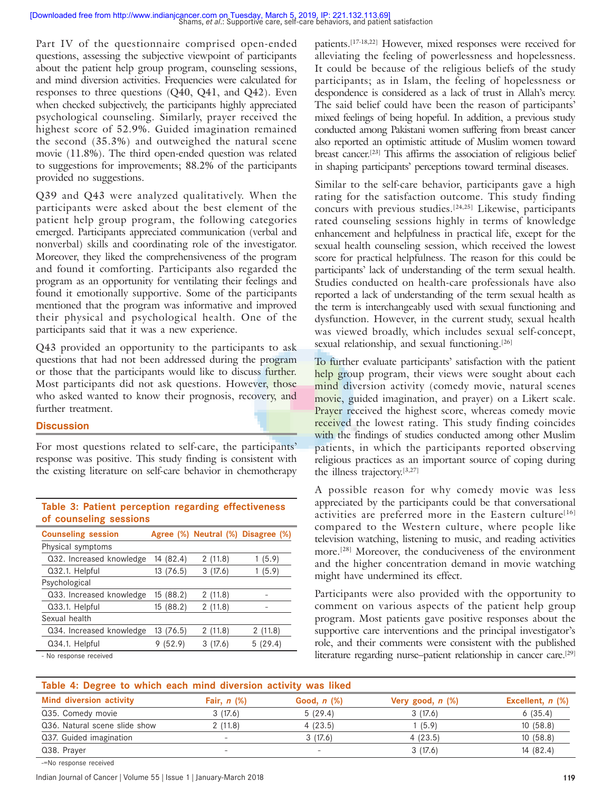Part IV of the questionnaire comprised open-ended questions, assessing the subjective viewpoint of participants about the patient help group program, counseling sessions, and mind diversion activities. Frequencies were calculated for responses to three questions (Q40, Q41, and Q42). Even when checked subjectively, the participants highly appreciated psychological counseling. Similarly, prayer received the highest score of 52.9%. Guided imagination remained the second (35.3%) and outweighed the natural scene movie (11.8%). The third open-ended question was related to suggestions for improvements; 88.2% of the participants provided no suggestions.

Q39 and Q43 were analyzed qualitatively. When the participants were asked about the best element of the patient help group program, the following categories emerged. Participants appreciated communication (verbal and nonverbal) skills and coordinating role of the investigator. Moreover, they liked the comprehensiveness of the program and found it comforting. Participants also regarded the program as an opportunity for ventilating their feelings and found it emotionally supportive. Some of the participants mentioned that the program was informative and improved their physical and psychological health. One of the participants said that it was a new experience.

Q43 provided an opportunity to the participants to ask questions that had not been addressed during the program or those that the participants would like to discuss further. Most participants did not ask questions. However, those who asked wanted to know their prognosis, recovery, and further treatment.

#### **Discussion**

For most questions related to self-care, the participants' response was positive. This study finding is consistent with the existing literature on self-care behavior in chemotherapy

| <u>UL CUMILISTIIIIZ SUSSIUIIS</u> |           |         |                                    |
|-----------------------------------|-----------|---------|------------------------------------|
| <b>Counseling session</b>         |           |         | Agree (%) Neutral (%) Disagree (%) |
| Physical symptoms                 |           |         |                                    |
| Q32. Increased knowledge          | 14 (82.4) | 2(11.8) | 1(5.9)                             |
| Q32.1. Helpful                    | 13 (76.5) | 3(17.6) | (5.9)                              |
| Psychological                     |           |         |                                    |
| Q33. Increased knowledge          | 15 (88.2) | 2(11.8) |                                    |
| Q33.1. Helpful                    | 15 (88.2) | 2(11.8) |                                    |
| Sexual health                     |           |         |                                    |
| Q34. Increased knowledge          | 13(76.5)  | 2(11.8) | 2(11.8)                            |
| Q34.1. Helpful                    | 9(52.9)   | 3(17.6) | 5(29.4)                            |
| Na saasanaa saaabtad              |           |         |                                    |

#### **Table 3: Patient perception regarding effectiveness of counseling sessions**

No response received

patients.[17-18,22] However, mixed responses were received for alleviating the feeling of powerlessness and hopelessness. It could be because of the religious beliefs of the study participants; as in Islam, the feeling of hopelessness or despondence is considered as a lack of trust in Allah's mercy. The said belief could have been the reason of participants' mixed feelings of being hopeful. In addition, a previous study conducted among Pakistani women suffering from breast cancer also reported an optimistic attitude of Muslim women toward breast cancer.[23] This affirms the association of religious belief in shaping participants' perceptions toward terminal diseases.

Similar to the self-care behavior, participants gave a high rating for the satisfaction outcome. This study finding concurs with previous studies.[24,25] Likewise, participants rated counseling sessions highly in terms of knowledge enhancement and helpfulness in practical life, except for the sexual health counseling session, which received the lowest score for practical helpfulness. The reason for this could be participants' lack of understanding of the term sexual health. Studies conducted on health-care professionals have also reported a lack of understanding of the term sexual health as the term is interchangeably used with sexual functioning and dysfunction. However, in the current study, sexual health was viewed broadly, which includes sexual self-concept, sexual relationship, and sexual functioning.<sup>[26]</sup>

To further evaluate participants' satisfaction with the patient help group program, their views were sought about each mind diversion activity (comedy movie, natural scenes movie, guided imagination, and prayer) on a Likert scale. Prayer received the highest score, whereas comedy movie received the lowest rating. This study finding coincides with the findings of studies conducted among other Muslim patients, in which the participants reported observing religious practices as an important source of coping during the illness trajectory.[3,27]

A possible reason for why comedy movie was less appreciated by the participants could be that conversational activities are preferred more in the Eastern culture<sup>[16]</sup> compared to the Western culture, where people like television watching, listening to music, and reading activities more.[28] Moreover, the conduciveness of the environment and the higher concentration demand in movie watching might have undermined its effect.

Participants were also provided with the opportunity to comment on various aspects of the patient help group program. Most patients gave positive responses about the supportive care interventions and the principal investigator's role, and their comments were consistent with the published literature regarding nurse–patient relationship in cancer care.[29]

| Table 4: Degree to which each mind diversion activity was liked |                          |                  |                       |                    |
|-----------------------------------------------------------------|--------------------------|------------------|-----------------------|--------------------|
| <b>Mind diversion activity</b>                                  | Fair, $n$ $(\%)$         | Good, $n$ $(\%)$ | Very good, $n$ $(\%)$ | Excellent, $n$ $%$ |
| Q35. Comedy movie                                               | 3(17.6)                  | 5(29.4)          | 3(17.6)               | 6(35.4)            |
| Q36. Natural scene slide show                                   | 2(11.8)                  | 4(23.5)          | (5.9)                 | 10(58.8)           |
| Q37. Guided imagination                                         | $\overline{\phantom{a}}$ | 3(17.6)          | 4(23.5)               | 10(58.8)           |
| Q38. Prayer                                                     | -                        | $\sim$           | 3(17.6)               | 14 (82.4)          |

-=No response received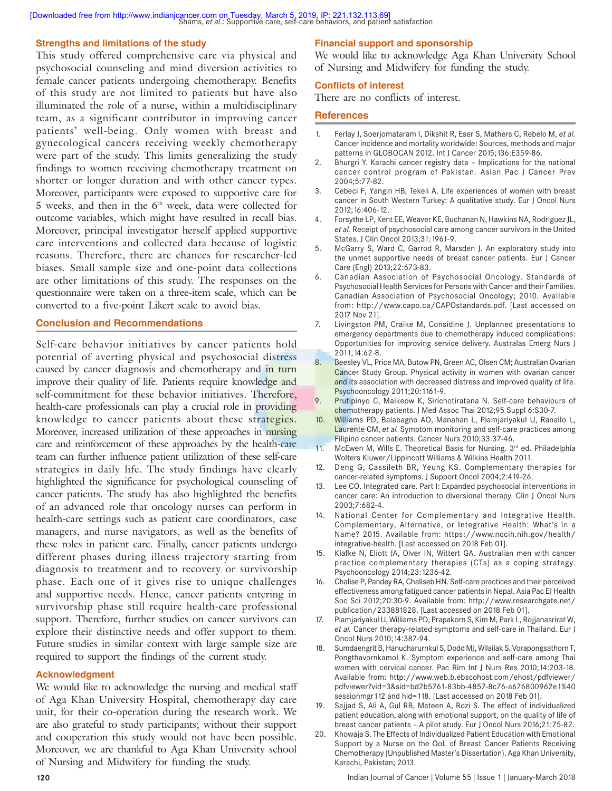#### **Strengths and limitations of the study**

This study offered comprehensive care via physical and psychosocial counseling and mind diversion activities to female cancer patients undergoing chemotherapy. Benefits of this study are not limited to patients but have also illuminated the role of a nurse, within a multidisciplinary team, as a significant contributor in improving cancer patients' well-being. Only women with breast and gynecological cancers receiving weekly chemotherapy were part of the study. This limits generalizing the study findings to women receiving chemotherapy treatment on shorter or longer duration and with other cancer types. Moreover, participants were exposed to supportive care for  $5$  weeks, and then in the  $6<sup>th</sup>$  week, data were collected for outcome variables, which might have resulted in recall bias. Moreover, principal investigator herself applied supportive care interventions and collected data because of logistic reasons. Therefore, there are chances for researcher-led biases. Small sample size and one-point data collections are other limitations of this study. The responses on the questionnaire were taken on a three-item scale, which can be converted to a five-point Likert scale to avoid bias.

#### **Conclusion and Recommendations**

Self-care behavior initiatives by cancer patients hold potential of averting physical and psychosocial distress caused by cancer diagnosis and chemotherapy and in turn improve their quality of life. Patients require knowledge and self-commitment for these behavior initiatives. Therefore, health-care professionals can play a crucial role in providing knowledge to cancer patients about these strategies. Moreover, increased utilization of these approaches in nursing care and reinforcement of these approaches by the health-care team can further influence patient utilization of these self-care strategies in daily life. The study findings have clearly highlighted the significance for psychological counseling of cancer patients. The study has also highlighted the benefits of an advanced role that oncology nurses can perform in health-care settings such as patient care coordinators, case managers, and nurse navigators, as well as the benefits of these roles in patient care. Finally, cancer patients undergo different phases during illness trajectory starting from diagnosis to treatment and to recovery or survivorship phase. Each one of it gives rise to unique challenges and supportive needs. Hence, cancer patients entering in survivorship phase still require health-care professional support. Therefore, further studies on cancer survivors can explore their distinctive needs and offer support to them. Future studies in similar context with large sample size are required to support the findings of the current study.

#### **Acknowledgment**

We would like to acknowledge the nursing and medical staff of Aga Khan University Hospital, chemotherapy day care unit, for their co-operation during the research work. We are also grateful to study participants; without their support and cooperation this study would not have been possible. Moreover, we are thankful to Aga Khan University school of Nursing and Midwifery for funding the study.

#### **Financial support and sponsorship**

We would like to acknowledge Aga Khan University School of Nursing and Midwifery for funding the study.

#### **Conflicts of interest**

There are no conflicts of interest.

#### **References**

- 1. Ferlay J, Soerjomataram I, Dikshit R, Eser S, Mathers C, Rebelo M, *et al.* Cancer incidence and mortality worldwide: Sources, methods and major patterns in GLOBOCAN 2012. Int J Cancer 2015;136:E359-86.
- 2. Bhurgri Y. Karachi cancer registry data Implications for the national cancer control program of Pakistan. Asian Pac J Cancer Prev 2004;5:77-82.
- 3. Cebeci F, Yangın HB, Tekeli A. Life experiences of women with breast cancer in South Western Turkey: A qualitative study. Eur J Oncol Nurs 2012;16:406-12.
- 4. Forsythe LP, Kent EE, Weaver KE, Buchanan N, Hawkins NA, Rodriguez JL, *et al.* Receipt of psychosocial care among cancer survivors in the United States. J Clin Oncol 2013;31:1961-9.
- 5. McGarry S, Ward C, Garrod R, Marsden J. An exploratory study into the unmet supportive needs of breast cancer patients. Eur J Cancer Care (Engl) 2013;22:673-83.
- 6. Canadian Association of Psychosocial Oncology. Standards of Psychosocial Health Services for Persons with Cancer and their Families. Canadian Association of Psychosocial Oncology; 2010. Available from: http://www.capo.ca/CAPOstandards.pdf. [Last accessed on 2017 Nov 21].
- 7. Livingston PM, Craike M, Considine J. Unplanned presentations to emergency departments due to chemotherapy induced complications: Opportunities for improving service delivery. Australas Emerg Nurs J 2011;14:62-8.
- 8. Beesley VL, Price MA, Butow PN, Green AC, Olsen CM; Australian Ovarian Cancer Study Group. Physical activity in women with ovarian cancer and its association with decreased distress and improved quality of life. Psychooncology 2011;20:1161-9.
- 9. Prutipinyo C, Maikeow K, Sirichotiratana N. Self-care behaviours of chemotherapy patients. J Med Assoc Thai 2012;95 Suppl 6:S30-7.
- 10. Williams PD, Balabagno AO, Manahan L, Piamjariyakul U, Ranallo L, Laurente CM, *et al.* Symptom monitoring and self-care practices among Filipino cancer patients. Cancer Nurs 2010;33:37-46.
- 11. McEwen M, Wills E. Theoretical Basis for Nursing. 3rd ed. Philadelphia Wolters Kluwer/Lippincott Williams & Wilkins Health 2011.
- 12. Deng G, Cassileth BR, Yeung KS. Complementary therapies for cancer-related symptoms. J Support Oncol 2004;2:419-26.
- 13. Lee CO. Integrated care. Part I: Expanded psychosocial interventions in cancer care: An introduction to diversional therapy. Clin J Oncol Nurs 2003;7:682-4.
- 14. National Center for Complementary and Integrative Health. Complementary, Alternative, or Integrative Health: What's In a Name? 2015. Available from: https://www.nccih.nih.gov/health/ integrative-health. [Last accessed on 2018 Feb 01].
- 15. Klafke N, Eliott JA, Olver IN, Wittert GA. Australian men with cancer practice complementary therapies (CTs) as a coping strategy. Psychooncology 2014;23:1236-42.
- 16. Chalise P, Pandey RA, Chaliseb HN. Self-care practices and their perceived effectiveness among fatigued cancer patients in Nepal. Asia Pac EJ Health Soc Sci 2012;20:30-9. Available from: http://www.researchgate.net/ publication/233881828. [Last accessed on 2018 Feb 01].
- 17. Piamjariyakul U, Williams PD, Prapakorn S, Kim M, Park L, Rojjanasrirat W, *et al.* Cancer therapy-related symptoms and self-care in Thailand. Eur J Oncol Nurs 2010;14:387-94.
- 18. Sumdaengrit B, Hanucharurnkul S, Dodd MJ, Wilailak S, Vorapongsathorn T, Pongthavornkamol K. Symptom experience and self-care among Thai women with cervical cancer. Pac Rim Int J Nurs Res 2010;14:203-18. Available from: http://www.web.b.ebscohost.com/ehost/pdfviewer/ pdfviewer?vid=3&sid=bd2b5761-83bb-4857-8c76-a676800962e1%40 sessionmgr112 and hid=118. [Last accessed on 2018 Feb 01].
- 19. Sajjad S, Ali A, Gul RB, Mateen A, Rozi S. The effect of individualized patient education, along with emotional support, on the quality of life of breast cancer patients – A pilot study. Eur J Oncol Nurs 2016;21:75-82.
- 20. Khowaja S. The Effects of Individualized Patient Education with Emotional Support by a Nurse on the QoL of Breast Cancer Patients Receiving Chemotherapy (Unpublished Master's Dissertation). Aga Khan University, Karachi, Pakistan; 2013.